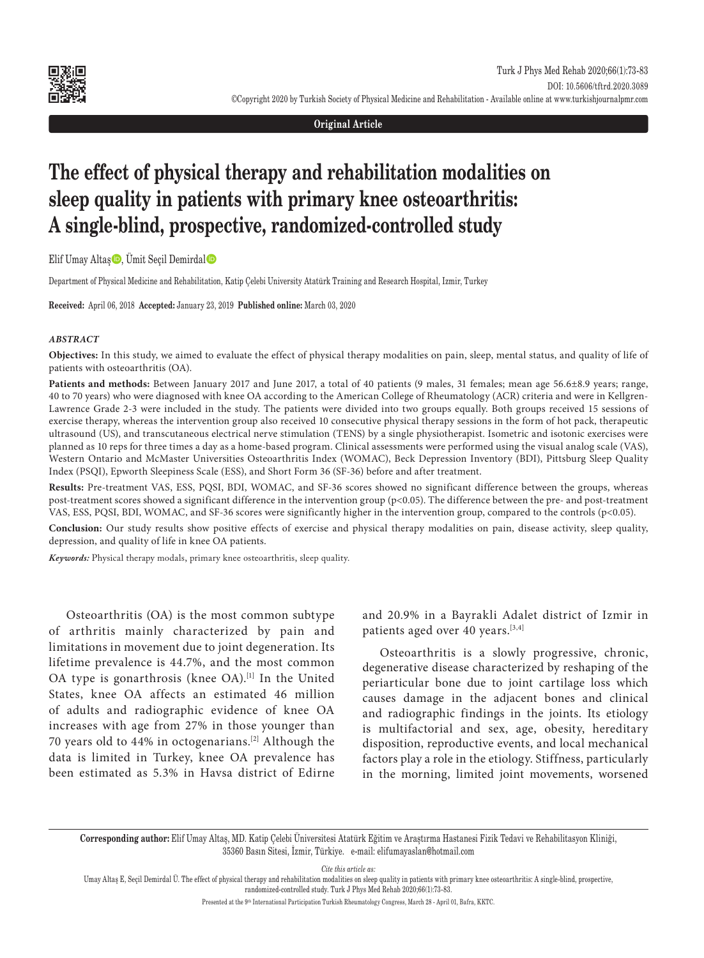

#### **Original Article**

# **The effect of physical therapy and rehabilitation modalities on sleep quality in patients with primary knee osteoarthritis: A single-blind, prospective, randomized-controlled study**

Elif Umay Altaş $\bigcirc$ , Ümit Seçil Demirdal $\bigcirc$ 

Department of Physical Medicine and Rehabilitation, Katip Çelebi University Atatürk Training and Research Hospital, Izmir, Turkey

**Received:** April 06, 2018 **Accepted:** January 23, 2019 **Published online:** March 03, 2020

#### *ABSTRACT*

**Objectives:** In this study, we aimed to evaluate the effect of physical therapy modalities on pain, sleep, mental status, and quality of life of patients with osteoarthritis (OA).

Patients and methods: Between January 2017 and June 2017, a total of 40 patients (9 males, 31 females; mean age 56.6±8.9 years; range, 40 to 70 years) who were diagnosed with knee OA according to the American College of Rheumatology (ACR) criteria and were in Kellgren-Lawrence Grade 2-3 were included in the study. The patients were divided into two groups equally. Both groups received 15 sessions of exercise therapy, whereas the intervention group also received 10 consecutive physical therapy sessions in the form of hot pack, therapeutic ultrasound (US), and transcutaneous electrical nerve stimulation (TENS) by a single physiotherapist. Isometric and isotonic exercises were planned as 10 reps for three times a day as a home-based program. Clinical assessments were performed using the visual analog scale (VAS), Western Ontario and McMaster Universities Osteoarthritis Index (WOMAC), Beck Depression Inventory (BDI), Pittsburg Sleep Quality Index (PSQI), Epworth Sleepiness Scale (ESS), and Short Form 36 (SF-36) before and after treatment.

**Results:** Pre-treatment VAS, ESS, PQSI, BDI, WOMAC, and SF-36 scores showed no significant difference between the groups, whereas post-treatment scores showed a significant difference in the intervention group (p<0.05). The difference between the pre- and post-treatment VAS, ESS, PQSI, BDI, WOMAC, and SF-36 scores were significantly higher in the intervention group, compared to the controls (p<0.05).

**Conclusion:** Our study results show positive effects of exercise and physical therapy modalities on pain, disease activity, sleep quality, depression, and quality of life in knee OA patients.

*Keywords:* Physical therapy modals, primary knee osteoarthritis, sleep quality.

Osteoarthritis (OA) is the most common subtype of arthritis mainly characterized by pain and limitations in movement due to joint degeneration. Its lifetime prevalence is 44.7%, and the most common OA type is gonarthrosis (knee OA).<sup>[1]</sup> In the United States, knee OA affects an estimated 46 million of adults and radiographic evidence of knee OA increases with age from 27% in those younger than 70 years old to 44% in octogenarians.[2] Although the data is limited in Turkey, knee OA prevalence has been estimated as 5.3% in Havsa district of Edirne

and 20.9% in a Bayrakli Adalet district of Izmir in patients aged over 40 years.<sup>[3,4]</sup>

Osteoarthritis is a slowly progressive, chronic, degenerative disease characterized by reshaping of the periarticular bone due to joint cartilage loss which causes damage in the adjacent bones and clinical and radiographic findings in the joints. Its etiology is multifactorial and sex, age, obesity, hereditary disposition, reproductive events, and local mechanical factors play a role in the etiology. Stiffness, particularly in the morning, limited joint movements, worsened

**Corresponding author:** Elif Umay Altaş, MD. Katip Çelebi Üniversitesi Atatürk Eğitim ve Araştırma Hastanesi Fizik Tedavi ve Rehabilitasyon Kliniği, 35360 Basın Sitesi, İzmir, Türkiye. e-mail: elifumayaslan@hotmail.com

*Cite this article as:*

Umay Altaş E, Seçil Demirdal Ü. The effect of physical therapy and rehabilitation modalities on sleep quality in patients with primary knee osteoarthritis: A single-blind, prospective, randomized-controlled study. Turk J Phys Med Rehab 2020;66(1):73-83.

Presented at the 9<sup>th</sup> International Participation Turkish Rheumatology Congress, March 28 - April 01, Bafra, KKTC.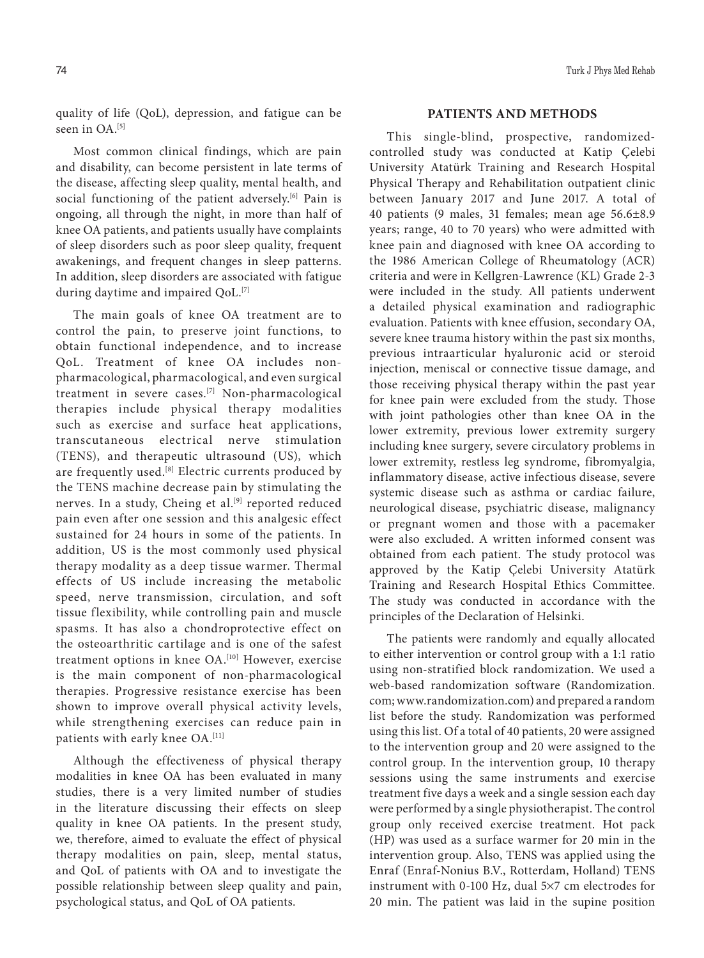quality of life (QoL), depression, and fatigue can be seen in OA.<sup>[5]</sup>

Most common clinical findings, which are pain and disability, can become persistent in late terms of the disease, affecting sleep quality, mental health, and social functioning of the patient adversely.<sup>[6]</sup> Pain is ongoing, all through the night, in more than half of knee OA patients, and patients usually have complaints of sleep disorders such as poor sleep quality, frequent awakenings, and frequent changes in sleep patterns. In addition, sleep disorders are associated with fatigue during daytime and impaired QoL.<sup>[7]</sup>

The main goals of knee OA treatment are to control the pain, to preserve joint functions, to obtain functional independence, and to increase QoL. Treatment of knee OA includes nonpharmacological, pharmacological, and even surgical treatment in severe cases.[7] Non-pharmacological therapies include physical therapy modalities such as exercise and surface heat applications, transcutaneous electrical nerve stimulation (TENS), and therapeutic ultrasound (US), which are frequently used.<sup>[8]</sup> Electric currents produced by the TENS machine decrease pain by stimulating the nerves. In a study, Cheing et al.<sup>[9]</sup> reported reduced pain even after one session and this analgesic effect sustained for 24 hours in some of the patients. In addition, US is the most commonly used physical therapy modality as a deep tissue warmer. Thermal effects of US include increasing the metabolic speed, nerve transmission, circulation, and soft tissue flexibility, while controlling pain and muscle spasms. It has also a chondroprotective effect on the osteoarthritic cartilage and is one of the safest treatment options in knee OA.<sup>[10]</sup> However, exercise is the main component of non-pharmacological therapies. Progressive resistance exercise has been shown to improve overall physical activity levels, while strengthening exercises can reduce pain in patients with early knee OA.<sup>[11]</sup>

Although the effectiveness of physical therapy modalities in knee OA has been evaluated in many studies, there is a very limited number of studies in the literature discussing their effects on sleep quality in knee OA patients. In the present study, we, therefore, aimed to evaluate the effect of physical therapy modalities on pain, sleep, mental status, and QoL of patients with OA and to investigate the possible relationship between sleep quality and pain, psychological status, and QoL of OA patients.

## **PATIENTS AND METHODS**

This single-blind, prospective, randomizedcontrolled study was conducted at Katip Çelebi University Atatürk Training and Research Hospital Physical Therapy and Rehabilitation outpatient clinic between January 2017 and June 2017. A total of 40 patients (9 males, 31 females; mean age 56.6±8.9 years; range, 40 to 70 years) who were admitted with knee pain and diagnosed with knee OA according to the 1986 American College of Rheumatology (ACR) criteria and were in Kellgren-Lawrence (KL) Grade 2-3 were included in the study. All patients underwent a detailed physical examination and radiographic evaluation. Patients with knee effusion, secondary OA, severe knee trauma history within the past six months, previous intraarticular hyaluronic acid or steroid injection, meniscal or connective tissue damage, and those receiving physical therapy within the past year for knee pain were excluded from the study. Those with joint pathologies other than knee OA in the lower extremity, previous lower extremity surgery including knee surgery, severe circulatory problems in lower extremity, restless leg syndrome, fibromyalgia, inflammatory disease, active infectious disease, severe systemic disease such as asthma or cardiac failure, neurological disease, psychiatric disease, malignancy or pregnant women and those with a pacemaker were also excluded. A written informed consent was obtained from each patient. The study protocol was approved by the Katip Çelebi University Atatürk Training and Research Hospital Ethics Committee. The study was conducted in accordance with the principles of the Declaration of Helsinki.

The patients were randomly and equally allocated to either intervention or control group with a 1:1 ratio using non-stratified block randomization. We used a web-based randomization software (Randomization. com; www.randomization.com) and prepared a random list before the study. Randomization was performed using this list. Of a total of 40 patients, 20 were assigned to the intervention group and 20 were assigned to the control group. In the intervention group, 10 therapy sessions using the same instruments and exercise treatment five days a week and a single session each day were performed by a single physiotherapist. The control group only received exercise treatment. Hot pack (HP) was used as a surface warmer for 20 min in the intervention group. Also, TENS was applied using the Enraf (Enraf-Nonius B.V., Rotterdam, Holland) TENS instrument with 0-100 Hz, dual 5×7 cm electrodes for 20 min. The patient was laid in the supine position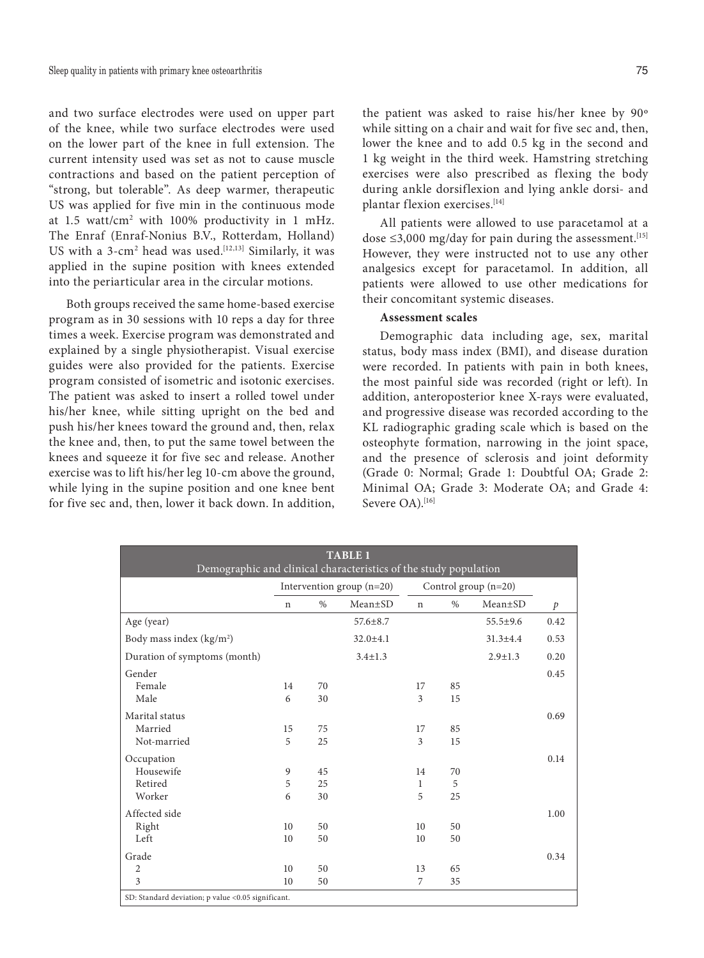and two surface electrodes were used on upper part of the knee, while two surface electrodes were used on the lower part of the knee in full extension. The current intensity used was set as not to cause muscle contractions and based on the patient perception of "strong, but tolerable". As deep warmer, therapeutic US was applied for five min in the continuous mode at 1.5 watt/cm2 with 100% productivity in 1 mHz. The Enraf (Enraf-Nonius B.V., Rotterdam, Holland) US with a  $3$ -cm<sup>2</sup> head was used.<sup>[12,13]</sup> Similarly, it was applied in the supine position with knees extended into the periarticular area in the circular motions.

Both groups received the same home-based exercise program as in 30 sessions with 10 reps a day for three times a week. Exercise program was demonstrated and explained by a single physiotherapist. Visual exercise guides were also provided for the patients. Exercise program consisted of isometric and isotonic exercises. The patient was asked to insert a rolled towel under his/her knee, while sitting upright on the bed and push his/her knees toward the ground and, then, relax the knee and, then, to put the same towel between the knees and squeeze it for five sec and release. Another exercise was to lift his/her leg 10-cm above the ground, while lying in the supine position and one knee bent for five sec and, then, lower it back down. In addition,

the patient was asked to raise his/her knee by 90º while sitting on a chair and wait for five sec and, then, lower the knee and to add 0.5 kg in the second and 1 kg weight in the third week. Hamstring stretching exercises were also prescribed as flexing the body during ankle dorsiflexion and lying ankle dorsi- and plantar flexion exercises.[14]

All patients were allowed to use paracetamol at a dose  $\leq 3,000$  mg/day for pain during the assessment.<sup>[15]</sup> However, they were instructed not to use any other analgesics except for paracetamol. In addition, all patients were allowed to use other medications for their concomitant systemic diseases.

# **Assessment scales**

Demographic data including age, sex, marital status, body mass index (BMI), and disease duration were recorded. In patients with pain in both knees, the most painful side was recorded (right or left). In addition, anteroposterior knee X-rays were evaluated, and progressive disease was recorded according to the KL radiographic grading scale which is based on the osteophyte formation, narrowing in the joint space, and the presence of sclerosis and joint deformity (Grade 0: Normal; Grade 1: Doubtful OA; Grade 2: Minimal OA; Grade 3: Moderate OA; and Grade 4: Severe OA).[16]

| <b>TABLE 1</b><br>Demographic and clinical characteristics of the study population |                                      |    |                             |                        |               |                |      |  |  |
|------------------------------------------------------------------------------------|--------------------------------------|----|-----------------------------|------------------------|---------------|----------------|------|--|--|
|                                                                                    |                                      |    | Intervention group $(n=20)$ | Control group $(n=20)$ |               |                |      |  |  |
|                                                                                    | $Mean \pm SD$<br>$\%$<br>$\mathbf n$ |    | $\mathbf n$                 | $\%$                   | $Mean \pm SD$ |                |      |  |  |
| Age (year)                                                                         |                                      |    | $57.6 \pm 8.7$              |                        |               | $55.5 \pm 9.6$ | 0.42 |  |  |
| Body mass index $(kg/m2)$                                                          |                                      |    | $32.0 \pm 4.1$              |                        |               | $31.3 \pm 4.4$ | 0.53 |  |  |
| Duration of symptoms (month)                                                       |                                      |    | $3.4 \pm 1.3$               |                        |               | $2.9 \pm 1.3$  | 0.20 |  |  |
| Gender                                                                             |                                      |    |                             |                        |               |                | 0.45 |  |  |
| Female                                                                             | 14                                   | 70 |                             | 17                     | 85            |                |      |  |  |
| Male                                                                               | 6                                    | 30 |                             | 3                      | 15            |                |      |  |  |
| Marital status                                                                     |                                      |    |                             |                        |               |                | 0.69 |  |  |
| Married                                                                            | 15                                   | 75 |                             | 17                     | 85            |                |      |  |  |
| Not-married                                                                        | 5                                    | 25 |                             | 3                      | 15            |                |      |  |  |
| Occupation                                                                         |                                      |    |                             |                        |               |                | 0.14 |  |  |
| Housewife                                                                          | 9                                    | 45 |                             | 14                     | 70            |                |      |  |  |
| Retired                                                                            | 5                                    | 25 |                             | 1                      | 5             |                |      |  |  |
| Worker                                                                             | 6                                    | 30 |                             | 5                      | 25            |                |      |  |  |
| Affected side                                                                      |                                      |    |                             |                        |               |                | 1.00 |  |  |
| Right                                                                              | 10                                   | 50 |                             | 10                     | 50            |                |      |  |  |
| Left                                                                               | 10                                   | 50 |                             | 10                     | 50            |                |      |  |  |
| Grade                                                                              |                                      |    |                             |                        |               |                | 0.34 |  |  |
| $\overline{2}$                                                                     | 10                                   | 50 |                             | 13                     | 65            |                |      |  |  |
| 3                                                                                  | 10                                   | 50 |                             | 7                      | 35            |                |      |  |  |
| SD: Standard deviation; p value <0.05 significant.                                 |                                      |    |                             |                        |               |                |      |  |  |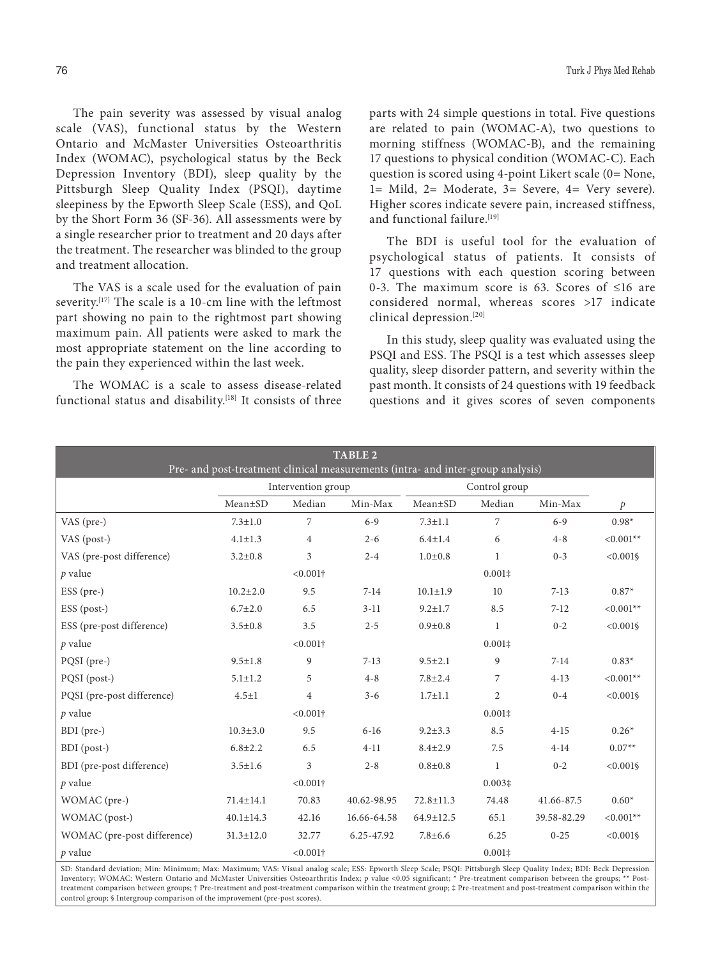The pain severity was assessed by visual analog scale (VAS), functional status by the Western Ontario and McMaster Universities Osteoarthritis Index (WOMAC), psychological status by the Beck Depression Inventory (BDI), sleep quality by the Pittsburgh Sleep Quality Index (PSQI), daytime sleepiness by the Epworth Sleep Scale (ESS), and QoL by the Short Form 36 (SF-36). All assessments were by a single researcher prior to treatment and 20 days after the treatment. The researcher was blinded to the group and treatment allocation.

The VAS is a scale used for the evaluation of pain severity.<sup>[17]</sup> The scale is a 10-cm line with the leftmost part showing no pain to the rightmost part showing maximum pain. All patients were asked to mark the most appropriate statement on the line according to the pain they experienced within the last week.

The WOMAC is a scale to assess disease-related functional status and disability.<sup>[18]</sup> It consists of three parts with 24 simple questions in total. Five questions are related to pain (WOMAC-A), two questions to morning stiffness (WOMAC-B), and the remaining 17 questions to physical condition (WOMAC-C). Each question is scored using 4-point Likert scale (0= None, 1= Mild, 2= Moderate, 3= Severe, 4= Very severe). Higher scores indicate severe pain, increased stiffness, and functional failure.<sup>[19]</sup>

The BDI is useful tool for the evaluation of psychological status of patients. It consists of 17 questions with each question scoring between 0-3. The maximum score is 63. Scores of ≤16 are considered normal, whereas scores >17 indicate clinical depression.[20]

In this study, sleep quality was evaluated using the PSQI and ESS. The PSQI is a test which assesses sleep quality, sleep disorder pattern, and severity within the past month. It consists of 24 questions with 19 feedback questions and it gives scores of seven components

| <b>TABLE 2</b><br>Pre- and post-treatment clinical measurements (intra- and inter-group analysis) |                 |                    |             |                 |                 |             |               |  |
|---------------------------------------------------------------------------------------------------|-----------------|--------------------|-------------|-----------------|-----------------|-------------|---------------|--|
|                                                                                                   |                 | Intervention group |             | Control group   |                 |             |               |  |
|                                                                                                   | $Mean \pm SD$   | Median             | Min-Max     | $Mean \pm SD$   | Median          | Min-Max     | $\mathcal{P}$ |  |
| VAS (pre-)                                                                                        | $7.3 \pm 1.0$   | 7                  | $6 - 9$     | $7.3 \pm 1.1$   | $\overline{7}$  | $6 - 9$     | $0.98*$       |  |
| VAS (post-)                                                                                       | $4.1 \pm 1.3$   | $\overline{4}$     | $2 - 6$     | $6.4 \pm 1.4$   | 6               | $4 - 8$     | $< 0.001**$   |  |
| VAS (pre-post difference)                                                                         | $3.2 \pm 0.8$   | 3                  | $2 - 4$     | $1.0 + 0.8$     | $\mathbf{1}$    | $0 - 3$     | $< 0.001$ §   |  |
| $p$ value                                                                                         |                 | $< 0.001$ †        |             |                 | $0.001\ddagger$ |             |               |  |
| ESS (pre-)                                                                                        | $10.2 \pm 2.0$  | 9.5                | $7-14$      | $10.1 \pm 1.9$  | 10              | $7 - 13$    | $0.87*$       |  |
| ESS (post-)                                                                                       | $6.7 \pm 2.0$   | 6.5                | $3-11$      | $9.2 \pm 1.7$   | 8.5             | $7 - 12$    | $< 0.001**$   |  |
| ESS (pre-post difference)                                                                         | $3.5 \pm 0.8$   | 3.5                | $2 - 5$     | $0.9 + 0.8$     | $\mathbf{1}$    | $0 - 2$     | $< 0.001$ §   |  |
| $p$ value                                                                                         |                 | $< 0.001$ †        |             |                 | $0.001\ddagger$ |             |               |  |
| PQSI (pre-)                                                                                       | $9.5 \pm 1.8$   | 9                  | $7 - 13$    | $9.5 \pm 2.1$   | 9               | $7 - 14$    | $0.83*$       |  |
| PQSI (post-)                                                                                      | $5.1 \pm 1.2$   | 5                  | $4 - 8$     | $7.8 \pm 2.4$   | 7               | $4-13$      | $< 0.001**$   |  |
| PQSI (pre-post difference)                                                                        | $4.5 \pm 1$     | $\overline{4}$     | $3 - 6$     | $1.7 \pm 1.1$   | $\overline{2}$  | $0 - 4$     | $< 0.001$ §   |  |
| $p$ value                                                                                         |                 | $< 0.001$ †        |             |                 | $0.001\ddagger$ |             |               |  |
| BDI (pre-)                                                                                        | $10.3 \pm 3.0$  | 9.5                | $6-16$      | $9.2 \pm 3.3$   | 8.5             | $4 - 15$    | $0.26*$       |  |
| BDI (post-)                                                                                       | $6.8 \pm 2.2$   | 6.5                | $4 - 11$    | $8.4 \pm 2.9$   | 7.5             | $4-14$      | $0.07**$      |  |
| BDI (pre-post difference)                                                                         | $3.5 \pm 1.6$   | 3                  | $2 - 8$     | $0.8 + 0.8$     | $\mathbf{1}$    | $0 - 2$     | $< 0.001$ §   |  |
| $p$ value                                                                                         |                 | $< 0.001$ †        |             |                 | $0.003\ddagger$ |             |               |  |
| WOMAC (pre-)                                                                                      | $71.4 \pm 14.1$ | 70.83              | 40.62-98.95 | $72.8 \pm 11.3$ | 74.48           | 41.66-87.5  | $0.60*$       |  |
| WOMAC (post-)                                                                                     | $40.1 \pm 14.3$ | 42.16              | 16.66-64.58 | 64.9±12.5       | 65.1            | 39.58-82.29 | $< 0.001**$   |  |
| WOMAC (pre-post difference)                                                                       | $31.3 \pm 12.0$ | 32.77              | 6.25-47.92  | $7.8 \pm 6.6$   | 6.25            | $0 - 25$    | $< 0.001$ §   |  |
| $p$ value                                                                                         |                 | $< 0.001$ †        |             |                 | $0.001\ddagger$ |             |               |  |

SD: Standard deviation; Min: Minimum; Max: Maximum; VAS: Visual analog scale; ESS: Epworth Sleep Scale; PSQI: Pittsburgh Sleep Quality Index; BDI: Beck Depression Inventory; WOMAC: Western Ontario and McMaster Universities Osteoarthritis Index; p value <0.05 significant; \* Pre-treatment comparison between the groups; \*\* Posttreatment comparison between groups; † Pre-treatment and post-treatment comparison within the treatment group; ‡ Pre-treatment and post-treatment comparison within the control group; § Intergroup comparison of the improvement (pre-post scores).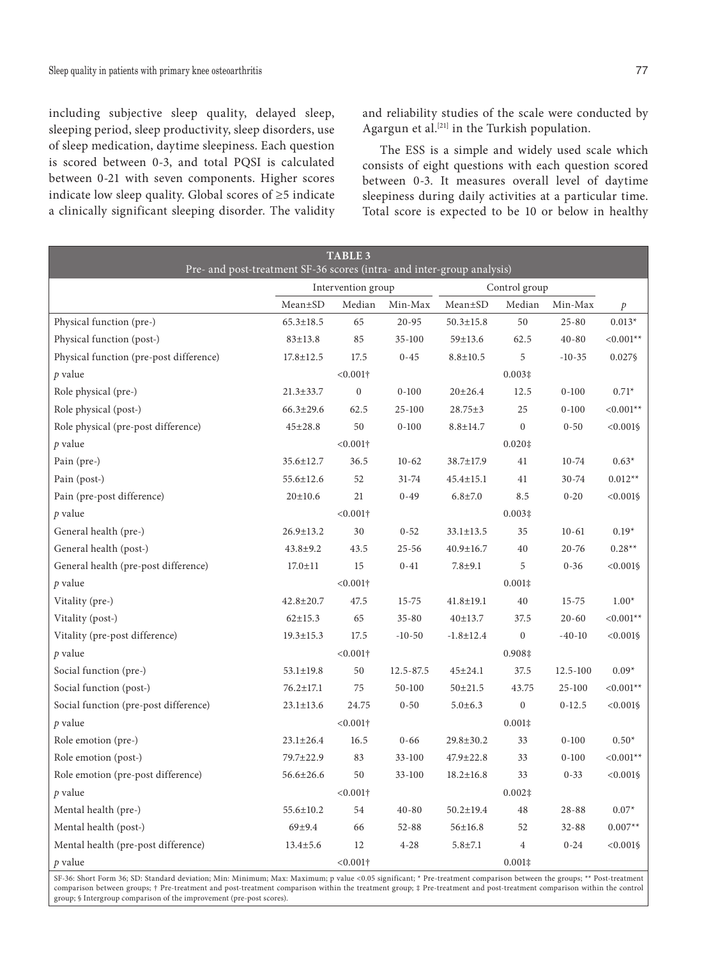including subjective sleep quality, delayed sleep, sleeping period, sleep productivity, sleep disorders, use of sleep medication, daytime sleepiness. Each question is scored between 0-3, and total PQSI is calculated between 0-21 with seven components. Higher scores indicate low sleep quality. Global scores of ≥5 indicate a clinically significant sleeping disorder. The validity and reliability studies of the scale were conducted by Agargun et al.[21] in the Turkish population.

The ESS is a simple and widely used scale which consists of eight questions with each question scored between 0-3. It measures overall level of daytime sleepiness during daily activities at a particular time. Total score is expected to be 10 or below in healthy

| <b>TABLE 3</b><br>Pre- and post-treatment SF-36 scores (intra- and inter-group analysis) |                 |                    |            |                 |                  |           |              |
|------------------------------------------------------------------------------------------|-----------------|--------------------|------------|-----------------|------------------|-----------|--------------|
|                                                                                          |                 | Intervention group |            | Control group   |                  |           |              |
|                                                                                          | Mean±SD         | Median             | Min-Max    | Mean±SD         | Median           | Min-Max   | $\,p\,$      |
| Physical function (pre-)                                                                 | $65.3 \pm 18.5$ | 65                 | $20 - 95$  | $50.3 \pm 15.8$ | 50               | $25 - 80$ | $0.013*$     |
| Physical function (post-)                                                                | $83 \pm 13.8$   | 85                 | $35 - 100$ | $59 \pm 13.6$   | 62.5             | $40 - 80$ | $< 0.001**$  |
| Physical function (pre-post difference)                                                  | $17.8 \pm 12.5$ | 17.5               | $0 - 45$   | $8.8 \pm 10.5$  | 5                | $-10-35$  | 0.027§       |
| $p$ value                                                                                |                 | $< 0.001$ †        |            |                 |                  |           |              |
| Role physical (pre-)                                                                     | $21.3 \pm 33.7$ | $\mathbf{0}$       | $0 - 100$  | $20 \pm 26.4$   | 12.5             | $0 - 100$ | $0.71*$      |
| Role physical (post-)                                                                    | $66.3 \pm 29.6$ | 62.5               | 25-100     | $28.75 \pm 3$   | 25               | $0 - 100$ | $< 0.001**$  |
| Role physical (pre-post difference)                                                      | $45 \pm 28.8$   | 50                 | $0 - 100$  | $8.8 \pm 14.7$  | $\boldsymbol{0}$ | $0 - 50$  | $< 0.001$ §  |
| $p$ value                                                                                |                 | $< 0.001$ †        |            |                 | $0.020$ ‡        |           |              |
| Pain (pre-)                                                                              | 35.6±12.7       | 36.5               | $10-62$    | 38.7±17.9       | 41               | $10 - 74$ | $0.63*$      |
| Pain (post-)                                                                             | $55.6 \pm 12.6$ | 52                 | 31-74      | $45.4 \pm 15.1$ | 41               | 30-74     | $0.012**$    |
| Pain (pre-post difference)                                                               | $20 \pm 10.6$   | 21                 | $0 - 49$   | $6.8 \pm 7.0$   | 8.5              | $0 - 20$  | $< 0.001$ §  |
| $p$ value                                                                                |                 | $< 0.001$ †        |            |                 | $0.003\ddagger$  |           |              |
| General health (pre-)                                                                    | $26.9 \pm 13.2$ | 30                 | $0 - 52$   | $33.1 \pm 13.5$ | 35               | $10 - 61$ | $0.19*$      |
| General health (post-)                                                                   | $43.8 \pm 9.2$  | 43.5               | $25 - 56$  | $40.9 \pm 16.7$ | 40               | $20 - 76$ | $0.28**$     |
| General health (pre-post difference)                                                     | $17.0 \pm 11$   | 15                 | $0 - 41$   | $7.8 + 9.1$     | 5                | $0 - 36$  | $< 0.001$ §  |
| $p$ value                                                                                |                 | $< 0.001$ †        |            |                 | $0.001\ddagger$  |           |              |
| Vitality (pre-)                                                                          | 42.8±20.7       | 47.5               | $15 - 75$  | $41.8 \pm 19.1$ | 40               | $15 - 75$ | $1.00*$      |
| Vitality (post-)                                                                         | $62 \pm 15.3$   | 65                 | $35 - 80$  | 40±13.7         | 37.5             | $20 - 60$ | $< 0.001**$  |
| Vitality (pre-post difference)                                                           | $19.3 \pm 15.3$ | 17.5               | $-10-50$   | $-1.8 \pm 12.4$ | $\mathbf{0}$     | $-40-10$  | $< 0.001$ §  |
| $p$ value                                                                                |                 | $< 0.001$ †        |            |                 | 0.908‡           |           |              |
| Social function (pre-)                                                                   | $53.1 \pm 19.8$ | 50                 | 12.5-87.5  | $45 \pm 24.1$   | 37.5             | 12.5-100  | $0.09*$      |
| Social function (post-)                                                                  | $76.2 \pm 17.1$ | 75                 | 50-100     | $50 + 21.5$     | 43.75            | 25-100    | ${<}0.001**$ |
| Social function (pre-post difference)                                                    | $23.1 \pm 13.6$ | 24.75              | $0 - 50$   | $5.0 \pm 6.3$   | $\boldsymbol{0}$ | $0-12.5$  | $< 0.001$ §  |
| $p$ value                                                                                |                 | $< 0.001\dagger$   |            |                 | $0.001\ddagger$  |           |              |
| Role emotion (pre-)                                                                      | $23.1 \pm 26.4$ | 16.5               | $0 - 66$   | $29.8 \pm 30.2$ | 33               | $0 - 100$ | $0.50*$      |
| Role emotion (post-)                                                                     | 79.7±22.9       | 83                 | $33 - 100$ | 47.9±22.8       | 33               | $0 - 100$ | $< 0.001**$  |
| Role emotion (pre-post difference)                                                       | $56.6 \pm 26.6$ | 50                 | $33 - 100$ | $18.2 \pm 16.8$ | 33               | $0 - 33$  | $< 0.001$ §  |
| $p$ value                                                                                |                 | $< 0.001$ †        |            |                 | $0.002$ ‡        |           |              |
| Mental health (pre-)                                                                     | 55.6±10.2       | 54                 | $40 - 80$  | $50.2 \pm 19.4$ | 48               | $28 - 88$ | $0.07*$      |
| Mental health (post-)                                                                    | 69±9.4          | 66                 | $52 - 88$  | $56 \pm 16.8$   | 52               | $32 - 88$ | $0.007**$    |
| Mental health (pre-post difference)                                                      | $13.4 \pm 5.6$  | 12                 | $4 - 28$   | $5.8 \pm 7.1$   | $\overline{4}$   | $0 - 24$  | $< 0.001$ §  |
| p value                                                                                  |                 | $< 0.001\dagger$   |            |                 | $0.001\ddagger$  |           |              |

SF-36: Short Form 36; SD: Standard deviation; Min: Minimum; Max: Maximum; p value <0.05 significant; \* Pre-treatment comparison between the groups; \*\* Post-treatment<br>comparison between groups; † Pre-treatment and post-tre group; § Intergroup comparison of the improvement (pre-post scores).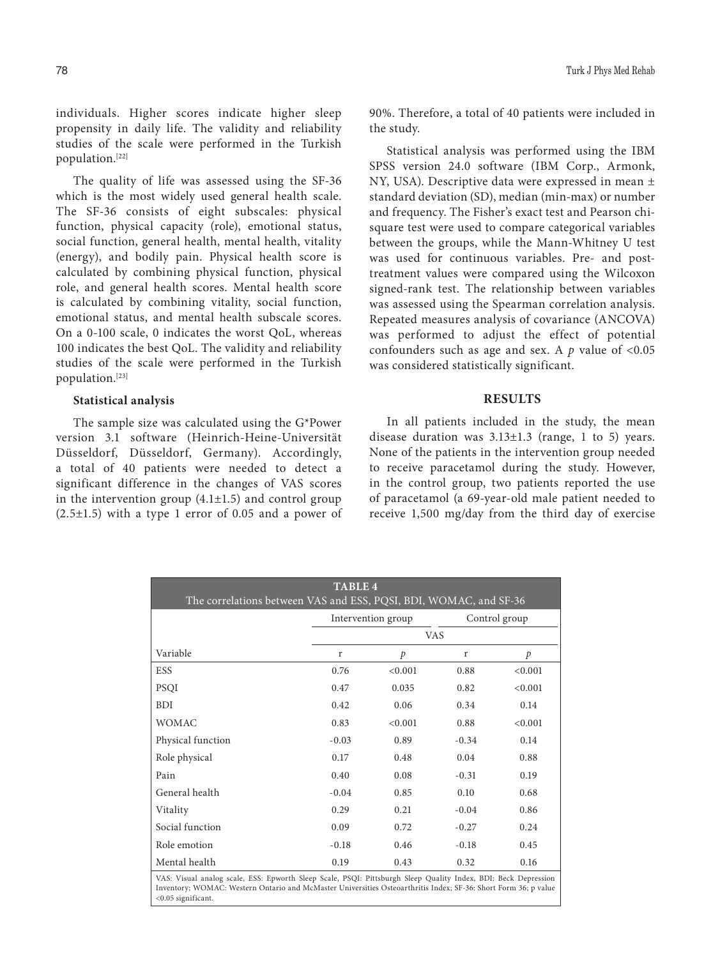individuals. Higher scores indicate higher sleep propensity in daily life. The validity and reliability studies of the scale were performed in the Turkish population.[22]

The quality of life was assessed using the SF-36 which is the most widely used general health scale. The SF-36 consists of eight subscales: physical function, physical capacity (role), emotional status, social function, general health, mental health, vitality (energy), and bodily pain. Physical health score is calculated by combining physical function, physical role, and general health scores. Mental health score is calculated by combining vitality, social function, emotional status, and mental health subscale scores. On a 0-100 scale, 0 indicates the worst QoL, whereas 100 indicates the best QoL. The validity and reliability studies of the scale were performed in the Turkish population.[23]

#### **Statistical analysis**

The sample size was calculated using the G\*Power version 3.1 software (Heinrich-Heine-Universität Düsseldorf, Düsseldorf, Germany). Accordingly, a total of 40 patients were needed to detect a significant difference in the changes of VAS scores in the intervention group  $(4.1 \pm 1.5)$  and control group  $(2.5\pm1.5)$  with a type 1 error of 0.05 and a power of 90%. Therefore, a total of 40 patients were included in the study.

Statistical analysis was performed using the IBM SPSS version 24.0 software (IBM Corp., Armonk, NY, USA). Descriptive data were expressed in mean ± standard deviation (SD), median (min-max) or number and frequency. The Fisher's exact test and Pearson chisquare test were used to compare categorical variables between the groups, while the Mann-Whitney U test was used for continuous variables. Pre- and posttreatment values were compared using the Wilcoxon signed-rank test. The relationship between variables was assessed using the Spearman correlation analysis. Repeated measures analysis of covariance (ANCOVA) was performed to adjust the effect of potential confounders such as age and sex. A  $p$  value of <0.05 was considered statistically significant.

#### **RESULTS**

In all patients included in the study, the mean disease duration was 3.13±1.3 (range, 1 to 5) years. None of the patients in the intervention group needed to receive paracetamol during the study. However, in the control group, two patients reported the use of paracetamol (a 69-year-old male patient needed to receive 1,500 mg/day from the third day of exercise

| <b>TABLE 4</b><br>The correlations between VAS and ESS, PQSI, BDI, WOMAC, and SF-36                                                                                                                                                                        |            |                    |         |               |  |  |  |  |
|------------------------------------------------------------------------------------------------------------------------------------------------------------------------------------------------------------------------------------------------------------|------------|--------------------|---------|---------------|--|--|--|--|
|                                                                                                                                                                                                                                                            |            | Intervention group |         | Control group |  |  |  |  |
|                                                                                                                                                                                                                                                            | <b>VAS</b> |                    |         |               |  |  |  |  |
| Variable                                                                                                                                                                                                                                                   | r          | $\mathcal{P}$      | r       | p             |  |  |  |  |
| <b>ESS</b>                                                                                                                                                                                                                                                 | 0.76       | < 0.001            | 0.88    | < 0.001       |  |  |  |  |
| <b>PSQI</b>                                                                                                                                                                                                                                                | 0.47       | 0.035              | 0.82    | < 0.001       |  |  |  |  |
| <b>BDI</b>                                                                                                                                                                                                                                                 | 0.42       | 0.06               | 0.34    | 0.14          |  |  |  |  |
| <b>WOMAC</b>                                                                                                                                                                                                                                               | 0.83       | < 0.001            | 0.88    | < 0.001       |  |  |  |  |
| Physical function                                                                                                                                                                                                                                          | $-0.03$    | 0.89               | $-0.34$ | 0.14          |  |  |  |  |
| Role physical                                                                                                                                                                                                                                              | 0.17       | 0.48               | 0.04    | 0.88          |  |  |  |  |
| Pain                                                                                                                                                                                                                                                       | 0.40       | 0.08               | $-0.31$ | 0.19          |  |  |  |  |
| General health                                                                                                                                                                                                                                             | $-0.04$    | 0.85               | 0.10    | 0.68          |  |  |  |  |
| Vitality                                                                                                                                                                                                                                                   | 0.29       | 0.21               | $-0.04$ | 0.86          |  |  |  |  |
| Social function                                                                                                                                                                                                                                            | 0.09       | 0.72               | $-0.27$ | 0.24          |  |  |  |  |
| Role emotion                                                                                                                                                                                                                                               | $-0.18$    | 0.46               | $-0.18$ | 0.45          |  |  |  |  |
| Mental health                                                                                                                                                                                                                                              | 0.19       | 0.43               | 0.32    | 0.16          |  |  |  |  |
| VAS: Visual analog scale, ESS: Epworth Sleep Scale, PSQI: Pittsburgh Sleep Quality Index, BDI: Beck Depression<br>Inventory; WOMAC: Western Ontario and McMaster Universities Osteoarthritis Index; SF-36: Short Form 36; p value<br>$< 0.05$ significant. |            |                    |         |               |  |  |  |  |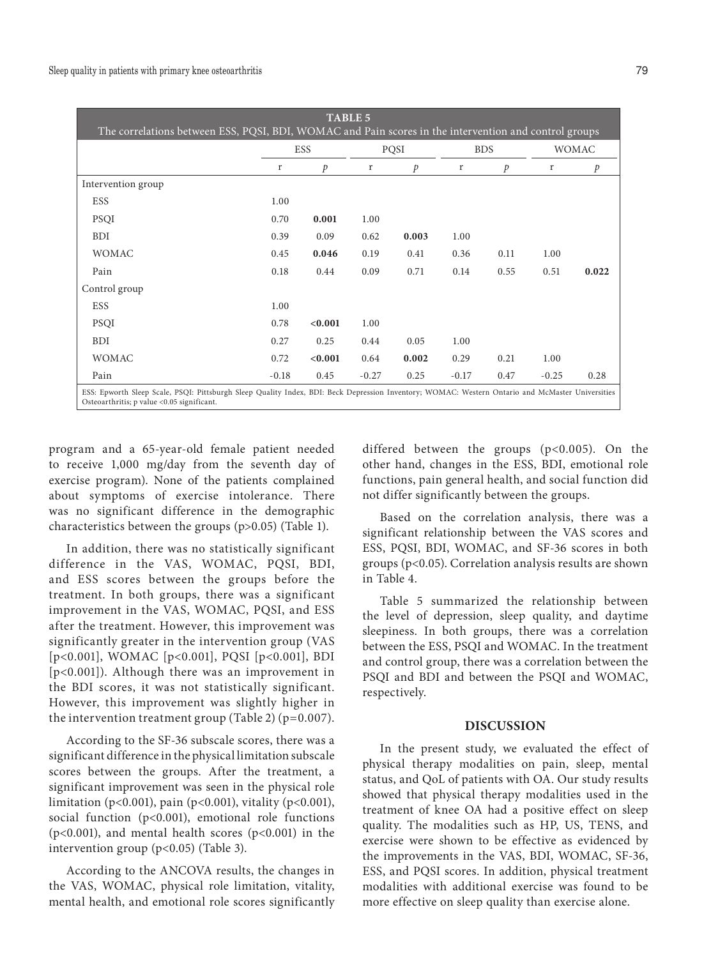| <b>TABLE 5</b><br>The correlations between ESS, PQSI, BDI, WOMAC and Pain scores in the intervention and control groups                                                                        |            |               |         |               |            |      |              |               |
|------------------------------------------------------------------------------------------------------------------------------------------------------------------------------------------------|------------|---------------|---------|---------------|------------|------|--------------|---------------|
|                                                                                                                                                                                                | <b>ESS</b> |               | PQSI    |               | <b>BDS</b> |      | <b>WOMAC</b> |               |
|                                                                                                                                                                                                | r          | $\mathcal{P}$ | r       | $\mathcal{P}$ | r          | p    | r            | $\mathcal{P}$ |
| Intervention group                                                                                                                                                                             |            |               |         |               |            |      |              |               |
| <b>ESS</b>                                                                                                                                                                                     | 1.00       |               |         |               |            |      |              |               |
| <b>PSQI</b>                                                                                                                                                                                    | 0.70       | 0.001         | 1.00    |               |            |      |              |               |
| <b>BDI</b>                                                                                                                                                                                     | 0.39       | 0.09          | 0.62    | 0.003         | 1.00       |      |              |               |
| <b>WOMAC</b>                                                                                                                                                                                   | 0.45       | 0.046         | 0.19    | 0.41          | 0.36       | 0.11 | 1.00         |               |
| Pain                                                                                                                                                                                           | 0.18       | 0.44          | 0.09    | 0.71          | 0.14       | 0.55 | 0.51         | 0.022         |
| Control group                                                                                                                                                                                  |            |               |         |               |            |      |              |               |
| <b>ESS</b>                                                                                                                                                                                     | 1.00       |               |         |               |            |      |              |               |
| <b>PSOI</b>                                                                                                                                                                                    | 0.78       | < 0.001       | 1.00    |               |            |      |              |               |
| <b>BDI</b>                                                                                                                                                                                     | 0.27       | 0.25          | 0.44    | 0.05          | 1.00       |      |              |               |
| <b>WOMAC</b>                                                                                                                                                                                   | 0.72       | < 0.001       | 0.64    | 0.002         | 0.29       | 0.21 | 1.00         |               |
| Pain                                                                                                                                                                                           | $-0.18$    | 0.45          | $-0.27$ | 0.25          | $-0.17$    | 0.47 | $-0.25$      | 0.28          |
| ESS: Epworth Sleep Scale, PSQI: Pittsburgh Sleep Quality Index, BDI: Beck Depression Inventory; WOMAC: Western Ontario and McMaster Universities<br>Osteoarthritis; p value <0.05 significant. |            |               |         |               |            |      |              |               |

program and a 65-year-old female patient needed to receive 1,000 mg/day from the seventh day of exercise program). None of the patients complained about symptoms of exercise intolerance. There was no significant difference in the demographic characteristics between the groups (p>0.05) (Table 1).

In addition, there was no statistically significant difference in the VAS, WOMAC, PQSI, BDI, and ESS scores between the groups before the treatment. In both groups, there was a significant improvement in the VAS, WOMAC, PQSI, and ESS after the treatment. However, this improvement was significantly greater in the intervention group (VAS [p<0.001], WOMAC [p<0.001], PQSI [p<0.001], BDI [p<0.001]). Although there was an improvement in the BDI scores, it was not statistically significant. However, this improvement was slightly higher in the intervention treatment group (Table 2) (p=0.007).

According to the SF-36 subscale scores, there was a significant difference in the physical limitation subscale scores between the groups. After the treatment, a significant improvement was seen in the physical role limitation (p<0.001), pain (p<0.001), vitality (p<0.001), social function (p<0.001), emotional role functions (p<0.001), and mental health scores (p<0.001) in the intervention group (p<0.05) (Table 3).

According to the ANCOVA results, the changes in the VAS, WOMAC, physical role limitation, vitality, mental health, and emotional role scores significantly differed between the groups (p<0.005). On the other hand, changes in the ESS, BDI, emotional role functions, pain general health, and social function did not differ significantly between the groups.

Based on the correlation analysis, there was a significant relationship between the VAS scores and ESS, PQSI, BDI, WOMAC, and SF-36 scores in both groups (p<0.05). Correlation analysis results are shown in Table 4.

Table 5 summarized the relationship between the level of depression, sleep quality, and daytime sleepiness. In both groups, there was a correlation between the ESS, PSQI and WOMAC. In the treatment and control group, there was a correlation between the PSQI and BDI and between the PSQI and WOMAC, respectively.

## **DISCUSSION**

In the present study, we evaluated the effect of physical therapy modalities on pain, sleep, mental status, and QoL of patients with OA. Our study results showed that physical therapy modalities used in the treatment of knee OA had a positive effect on sleep quality. The modalities such as HP, US, TENS, and exercise were shown to be effective as evidenced by the improvements in the VAS, BDI, WOMAC, SF-36, ESS, and PQSI scores. In addition, physical treatment modalities with additional exercise was found to be more effective on sleep quality than exercise alone.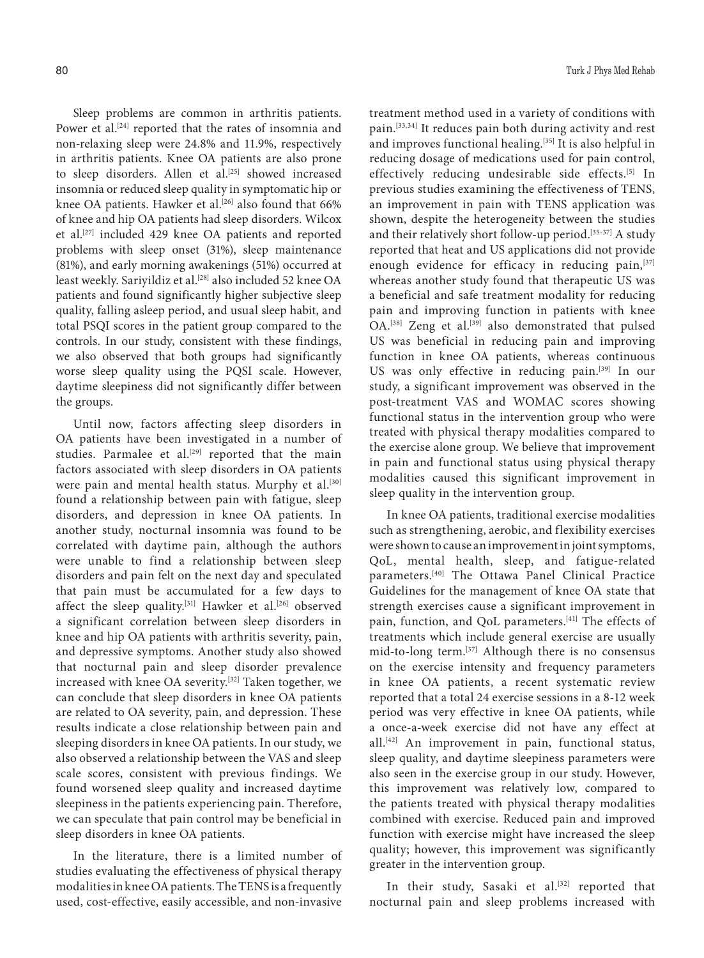Sleep problems are common in arthritis patients. Power et al.<sup>[24]</sup> reported that the rates of insomnia and non-relaxing sleep were 24.8% and 11.9%, respectively in arthritis patients. Knee OA patients are also prone to sleep disorders. Allen et al.<sup>[25]</sup> showed increased insomnia or reduced sleep quality in symptomatic hip or knee OA patients. Hawker et al.<sup>[26]</sup> also found that 66% of knee and hip OA patients had sleep disorders. Wilcox et al.[27] included 429 knee OA patients and reported problems with sleep onset (31%), sleep maintenance (81%), and early morning awakenings (51%) occurred at least weekly. Sariyildiz et al.<sup>[28]</sup> also included 52 knee OA patients and found significantly higher subjective sleep quality, falling asleep period, and usual sleep habit, and total PSQI scores in the patient group compared to the controls. In our study, consistent with these findings, we also observed that both groups had significantly worse sleep quality using the PQSI scale. However, daytime sleepiness did not significantly differ between the groups.

Until now, factors affecting sleep disorders in OA patients have been investigated in a number of studies. Parmalee et al.<sup>[29]</sup> reported that the main factors associated with sleep disorders in OA patients were pain and mental health status. Murphy et al.<sup>[30]</sup> found a relationship between pain with fatigue, sleep disorders, and depression in knee OA patients. In another study, nocturnal insomnia was found to be correlated with daytime pain, although the authors were unable to find a relationship between sleep disorders and pain felt on the next day and speculated that pain must be accumulated for a few days to affect the sleep quality.<sup>[31]</sup> Hawker et al.<sup>[26]</sup> observed a significant correlation between sleep disorders in knee and hip OA patients with arthritis severity, pain, and depressive symptoms. Another study also showed that nocturnal pain and sleep disorder prevalence increased with knee OA severity.[32] Taken together, we can conclude that sleep disorders in knee OA patients are related to OA severity, pain, and depression. These results indicate a close relationship between pain and sleeping disorders in knee OA patients. In our study, we also observed a relationship between the VAS and sleep scale scores, consistent with previous findings. We found worsened sleep quality and increased daytime sleepiness in the patients experiencing pain. Therefore, we can speculate that pain control may be beneficial in sleep disorders in knee OA patients.

In the literature, there is a limited number of studies evaluating the effectiveness of physical therapy modalities in knee OA patients. The TENS is a frequently used, cost-effective, easily accessible, and non-invasive

treatment method used in a variety of conditions with pain.[33,34] It reduces pain both during activity and rest and improves functional healing.<sup>[35]</sup> It is also helpful in reducing dosage of medications used for pain control, effectively reducing undesirable side effects.[5] In previous studies examining the effectiveness of TENS, an improvement in pain with TENS application was shown, despite the heterogeneity between the studies and their relatively short follow-up period.<sup>[35-37]</sup> A study reported that heat and US applications did not provide enough evidence for efficacy in reducing pain,<sup>[37]</sup> whereas another study found that therapeutic US was a beneficial and safe treatment modality for reducing pain and improving function in patients with knee OA.<sup>[38]</sup> Zeng et al.<sup>[39]</sup> also demonstrated that pulsed US was beneficial in reducing pain and improving function in knee OA patients, whereas continuous US was only effective in reducing pain.[39] In our study, a significant improvement was observed in the post-treatment VAS and WOMAC scores showing functional status in the intervention group who were treated with physical therapy modalities compared to the exercise alone group. We believe that improvement in pain and functional status using physical therapy modalities caused this significant improvement in sleep quality in the intervention group.

In knee OA patients, traditional exercise modalities such as strengthening, aerobic, and flexibility exercises were shown to cause an improvement in joint symptoms, QoL, mental health, sleep, and fatigue-related parameters.[40] The Ottawa Panel Clinical Practice Guidelines for the management of knee OA state that strength exercises cause a significant improvement in pain, function, and QoL parameters.<sup>[41]</sup> The effects of treatments which include general exercise are usually mid-to-long term.[37] Although there is no consensus on the exercise intensity and frequency parameters in knee OA patients, a recent systematic review reported that a total 24 exercise sessions in a 8-12 week period was very effective in knee OA patients, while a once-a-week exercise did not have any effect at all.[42] An improvement in pain, functional status, sleep quality, and daytime sleepiness parameters were also seen in the exercise group in our study. However, this improvement was relatively low, compared to the patients treated with physical therapy modalities combined with exercise. Reduced pain and improved function with exercise might have increased the sleep quality; however, this improvement was significantly greater in the intervention group.

In their study, Sasaki et al.<sup>[32]</sup> reported that nocturnal pain and sleep problems increased with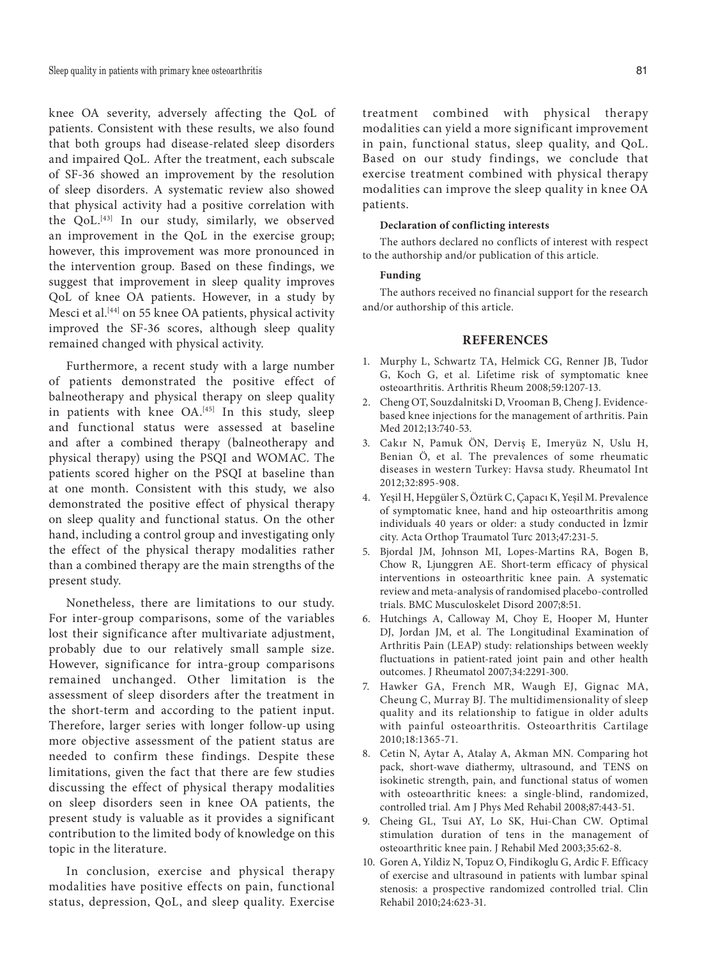knee OA severity, adversely affecting the QoL of patients. Consistent with these results, we also found that both groups had disease-related sleep disorders and impaired QoL. After the treatment, each subscale of SF-36 showed an improvement by the resolution of sleep disorders. A systematic review also showed that physical activity had a positive correlation with the QoL.<sup>[43]</sup> In our study, similarly, we observed an improvement in the QoL in the exercise group; however, this improvement was more pronounced in the intervention group. Based on these findings, we suggest that improvement in sleep quality improves QoL of knee OA patients. However, in a study by Mesci et al.[44] on 55 knee OA patients, physical activity improved the SF-36 scores, although sleep quality remained changed with physical activity.

Furthermore, a recent study with a large number of patients demonstrated the positive effect of balneotherapy and physical therapy on sleep quality in patients with knee OA.<sup>[45]</sup> In this study, sleep and functional status were assessed at baseline and after a combined therapy (balneotherapy and physical therapy) using the PSQI and WOMAC. The patients scored higher on the PSQI at baseline than at one month. Consistent with this study, we also demonstrated the positive effect of physical therapy on sleep quality and functional status. On the other hand, including a control group and investigating only the effect of the physical therapy modalities rather than a combined therapy are the main strengths of the present study.

Nonetheless, there are limitations to our study. For inter-group comparisons, some of the variables lost their significance after multivariate adjustment, probably due to our relatively small sample size. However, significance for intra-group comparisons remained unchanged. Other limitation is the assessment of sleep disorders after the treatment in the short-term and according to the patient input. Therefore, larger series with longer follow-up using more objective assessment of the patient status are needed to confirm these findings. Despite these limitations, given the fact that there are few studies discussing the effect of physical therapy modalities on sleep disorders seen in knee OA patients, the present study is valuable as it provides a significant contribution to the limited body of knowledge on this topic in the literature.

In conclusion, exercise and physical therapy modalities have positive effects on pain, functional status, depression, QoL, and sleep quality. Exercise

treatment combined with physical therapy modalities can yield a more significant improvement in pain, functional status, sleep quality, and QoL. Based on our study findings, we conclude that exercise treatment combined with physical therapy modalities can improve the sleep quality in knee OA patients.

#### **Declaration of conflicting interests**

The authors declared no conflicts of interest with respect to the authorship and/or publication of this article.

#### **Funding**

The authors received no financial support for the research and/or authorship of this article.

#### **REFERENCES**

- 1. Murphy L, Schwartz TA, Helmick CG, Renner JB, Tudor G, Koch G, et al. Lifetime risk of symptomatic knee osteoarthritis. Arthritis Rheum 2008;59:1207-13.
- 2. Cheng OT, Souzdalnitski D, Vrooman B, Cheng J. Evidencebased knee injections for the management of arthritis. Pain Med 2012;13:740-53.
- 3. Cakır N, Pamuk ÖN, Derviş E, Imeryüz N, Uslu H, Benian Ö, et al. The prevalences of some rheumatic diseases in western Turkey: Havsa study. Rheumatol Int 2012;32:895-908.
- 4. Yeşil H, Hepgüler S, Öztürk C, Çapacı K, Yeşil M. Prevalence of symptomatic knee, hand and hip osteoarthritis among individuals 40 years or older: a study conducted in İzmir city. Acta Orthop Traumatol Turc 2013;47:231-5.
- 5. Bjordal JM, Johnson MI, Lopes-Martins RA, Bogen B, Chow R, Ljunggren AE. Short-term efficacy of physical interventions in osteoarthritic knee pain. A systematic review and meta-analysis of randomised placebo-controlled trials. BMC Musculoskelet Disord 2007;8:51.
- 6. Hutchings A, Calloway M, Choy E, Hooper M, Hunter DJ, Jordan JM, et al. The Longitudinal Examination of Arthritis Pain (LEAP) study: relationships between weekly fluctuations in patient-rated joint pain and other health outcomes. J Rheumatol 2007;34:2291-300.
- 7. Hawker GA, French MR, Waugh EJ, Gignac MA, Cheung C, Murray BJ. The multidimensionality of sleep quality and its relationship to fatigue in older adults with painful osteoarthritis. Osteoarthritis Cartilage 2010;18:1365-71.
- 8. Cetin N, Aytar A, Atalay A, Akman MN. Comparing hot pack, short-wave diathermy, ultrasound, and TENS on isokinetic strength, pain, and functional status of women with osteoarthritic knees: a single-blind, randomized, controlled trial. Am J Phys Med Rehabil 2008;87:443-51.
- 9. Cheing GL, Tsui AY, Lo SK, Hui-Chan CW. Optimal stimulation duration of tens in the management of osteoarthritic knee pain. J Rehabil Med 2003;35:62-8.
- 10. Goren A, Yildiz N, Topuz O, Findikoglu G, Ardic F. Efficacy of exercise and ultrasound in patients with lumbar spinal stenosis: a prospective randomized controlled trial. Clin Rehabil 2010;24:623-31.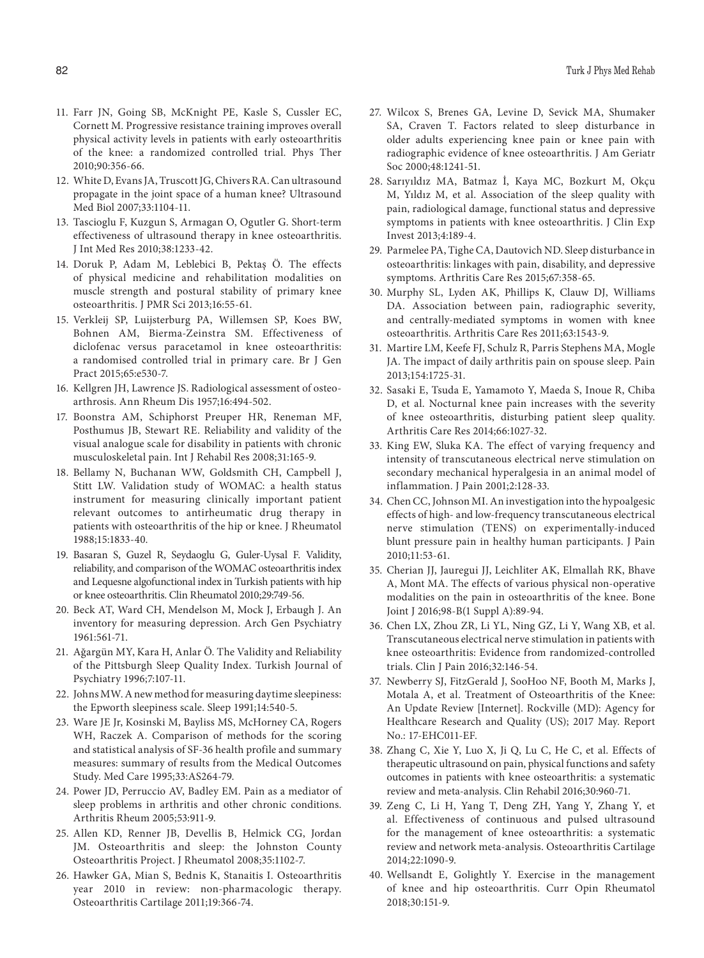- 11. Farr JN, Going SB, McKnight PE, Kasle S, Cussler EC, Cornett M. Progressive resistance training improves overall physical activity levels in patients with early osteoarthritis of the knee: a randomized controlled trial. Phys Ther 2010;90:356-66.
- 12. White D, Evans JA, Truscott JG, Chivers RA. Can ultrasound propagate in the joint space of a human knee? Ultrasound Med Biol 2007;33:1104-11.
- 13. Tascioglu F, Kuzgun S, Armagan O, Ogutler G. Short-term effectiveness of ultrasound therapy in knee osteoarthritis. J Int Med Res 2010;38:1233-42.
- 14. Doruk P, Adam M, Leblebici B, Pektaş Ö. The effects of physical medicine and rehabilitation modalities on muscle strength and postural stability of primary knee osteoarthritis. J PMR Sci 2013;16:55-61.
- 15. Verkleij SP, Luijsterburg PA, Willemsen SP, Koes BW, Bohnen AM, Bierma-Zeinstra SM. Effectiveness of diclofenac versus paracetamol in knee osteoarthritis: a randomised controlled trial in primary care. Br J Gen Pract 2015;65:e530-7.
- 16. Kellgren JH, Lawrence JS. Radiological assessment of osteoarthrosis. Ann Rheum Dis 1957;16:494-502.
- 17. Boonstra AM, Schiphorst Preuper HR, Reneman MF, Posthumus JB, Stewart RE. Reliability and validity of the visual analogue scale for disability in patients with chronic musculoskeletal pain. Int J Rehabil Res 2008;31:165-9.
- 18. Bellamy N, Buchanan WW, Goldsmith CH, Campbell J, Stitt LW. Validation study of WOMAC: a health status instrument for measuring clinically important patient relevant outcomes to antirheumatic drug therapy in patients with osteoarthritis of the hip or knee. J Rheumatol 1988;15:1833-40.
- 19. Basaran S, Guzel R, Seydaoglu G, Guler-Uysal F. Validity, reliability, and comparison of the WOMAC osteoarthritis index and Lequesne algofunctional index in Turkish patients with hip or knee osteoarthritis. Clin Rheumatol 2010;29:749-56.
- 20. Beck AT, Ward CH, Mendelson M, Mock J, Erbaugh J. An inventory for measuring depression. Arch Gen Psychiatry 1961:561-71.
- 21. Ağargün MY, Kara H, Anlar Ö. The Validity and Reliability of the Pittsburgh Sleep Quality Index. Turkish Journal of Psychiatry 1996;7:107-11.
- 22. Johns MW. A new method for measuring daytime sleepiness: the Epworth sleepiness scale. Sleep 1991;14:540-5.
- 23. Ware JE Jr, Kosinski M, Bayliss MS, McHorney CA, Rogers WH, Raczek A. Comparison of methods for the scoring and statistical analysis of SF-36 health profile and summary measures: summary of results from the Medical Outcomes Study. Med Care 1995;33:AS264-79.
- 24. Power JD, Perruccio AV, Badley EM. Pain as a mediator of sleep problems in arthritis and other chronic conditions. Arthritis Rheum 2005;53:911-9.
- 25. Allen KD, Renner JB, Devellis B, Helmick CG, Jordan JM. Osteoarthritis and sleep: the Johnston County Osteoarthritis Project. J Rheumatol 2008;35:1102-7.
- 26. Hawker GA, Mian S, Bednis K, Stanaitis I. Osteoarthritis year 2010 in review: non-pharmacologic therapy. Osteoarthritis Cartilage 2011;19:366-74.
- 27. Wilcox S, Brenes GA, Levine D, Sevick MA, Shumaker SA, Craven T. Factors related to sleep disturbance in older adults experiencing knee pain or knee pain with radiographic evidence of knee osteoarthritis. J Am Geriatr Soc 2000;48:1241-51.
- 28. Sarıyıldız MA, Batmaz İ, Kaya MC, Bozkurt M, Okçu M, Yıldız M, et al. Association of the sleep quality with pain, radiological damage, functional status and depressive symptoms in patients with knee osteoarthritis. J Clin Exp Invest 2013;4:189-4.
- 29. Parmelee PA, Tighe CA, Dautovich ND. Sleep disturbance in osteoarthritis: linkages with pain, disability, and depressive symptoms. Arthritis Care Res 2015;67:358-65.
- 30. Murphy SL, Lyden AK, Phillips K, Clauw DJ, Williams DA. Association between pain, radiographic severity, and centrally-mediated symptoms in women with knee osteoarthritis. Arthritis Care Res 2011;63:1543-9.
- 31. Martire LM, Keefe FJ, Schulz R, Parris Stephens MA, Mogle JA. The impact of daily arthritis pain on spouse sleep. Pain 2013;154:1725-31.
- 32. Sasaki E, Tsuda E, Yamamoto Y, Maeda S, Inoue R, Chiba D, et al. Nocturnal knee pain increases with the severity of knee osteoarthritis, disturbing patient sleep quality. Arthritis Care Res 2014;66:1027-32.
- 33. King EW, Sluka KA. The effect of varying frequency and intensity of transcutaneous electrical nerve stimulation on secondary mechanical hyperalgesia in an animal model of inflammation. J Pain 2001;2:128-33.
- 34. Chen CC, Johnson MI. An investigation into the hypoalgesic effects of high- and low-frequency transcutaneous electrical nerve stimulation (TENS) on experimentally-induced blunt pressure pain in healthy human participants. J Pain 2010;11:53-61.
- 35. Cherian JJ, Jauregui JJ, Leichliter AK, Elmallah RK, Bhave A, Mont MA. The effects of various physical non-operative modalities on the pain in osteoarthritis of the knee. Bone Joint J 2016;98-B(1 Suppl A):89-94.
- 36. Chen LX, Zhou ZR, Li YL, Ning GZ, Li Y, Wang XB, et al. Transcutaneous electrical nerve stimulation in patients with knee osteoarthritis: Evidence from randomized-controlled trials. Clin J Pain 2016;32:146-54.
- 37. Newberry SJ, FitzGerald J, SooHoo NF, Booth M, Marks J, Motala A, et al. Treatment of Osteoarthritis of the Knee: An Update Review [Internet]. Rockville (MD): Agency for Healthcare Research and Quality (US); 2017 May. Report No.: 17-EHC011-EF.
- 38. Zhang C, Xie Y, Luo X, Ji Q, Lu C, He C, et al. Effects of therapeutic ultrasound on pain, physical functions and safety outcomes in patients with knee osteoarthritis: a systematic review and meta-analysis. Clin Rehabil 2016;30:960-71.
- 39. Zeng C, Li H, Yang T, Deng ZH, Yang Y, Zhang Y, et al. Effectiveness of continuous and pulsed ultrasound for the management of knee osteoarthritis: a systematic review and network meta-analysis. Osteoarthritis Cartilage 2014;22:1090-9.
- 40. Wellsandt E, Golightly Y. Exercise in the management of knee and hip osteoarthritis. Curr Opin Rheumatol 2018;30:151-9.